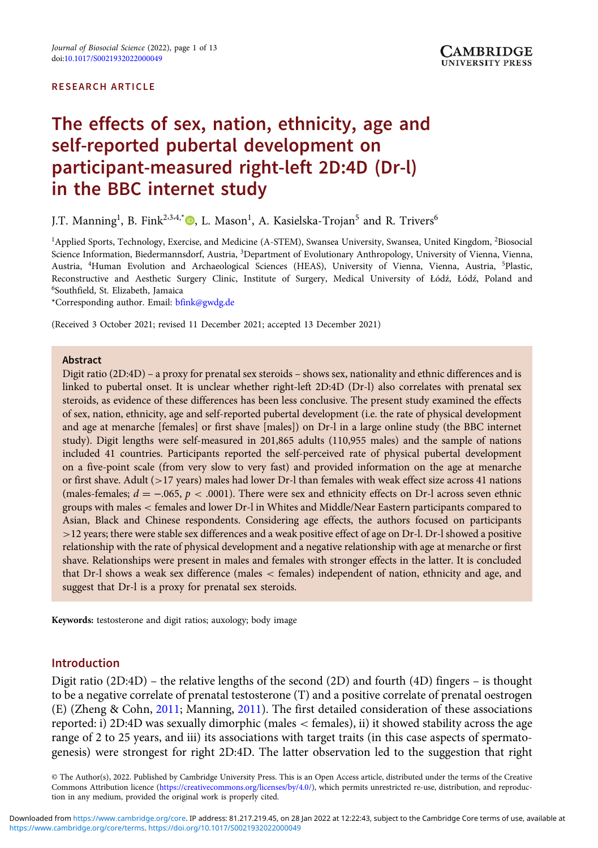#### RESEARCH ARTICLE

# The effects of sex, nation, ethnicity, age and self-reported pubertal development on participant-measured right-left 2D:4D (Dr-l) in the BBC internet study

J.T. Manning<sup>1</sup>[,](https://orcid.org/0000-0003-2739-5236) B. Fink<sup>2.3.4,\*</sup>®, L. Mason<sup>1</sup>, A. Kasielska-Trojan<sup>5</sup> and R. Trivers<sup>6</sup>

<sup>1</sup>Applied Sports, Technology, Exercise, and Medicine (A-STEM), Swansea University, Swansea, United Kingdom, <sup>2</sup>Biosocial Science Information, Biedermannsdorf, Austria, <sup>3</sup>Department of Evolutionary Anthropology, University of Vienna, Vienna, Austria, <sup>4</sup>Human Evolution and Archaeological Sciences (HEAS), University of Vienna, Vienna, Austria, <sup>5</sup>Plastic, Reconstructive and Aesthetic Surgery Clinic, Institute of Surgery, Medical University of Łódź, Łódź, Poland and 6 Southfield, St. Elizabeth, Jamaica

\*Corresponding author. Email: [bfink@gwdg.de](mailto:bfink@gwdg.de)

(Received 3 October 2021; revised 11 December 2021; accepted 13 December 2021)

#### Abstract

Digit ratio (2D:4D) – a proxy for prenatal sex steroids – shows sex, nationality and ethnic differences and is linked to pubertal onset. It is unclear whether right-left 2D:4D (Dr-l) also correlates with prenatal sex steroids, as evidence of these differences has been less conclusive. The present study examined the effects of sex, nation, ethnicity, age and self-reported pubertal development (i.e. the rate of physical development and age at menarche [females] or first shave [males]) on Dr-l in a large online study (the BBC internet study). Digit lengths were self-measured in 201,865 adults (110,955 males) and the sample of nations included 41 countries. Participants reported the self-perceived rate of physical pubertal development on a five-point scale (from very slow to very fast) and provided information on the age at menarche or first shave. Adult (>17 years) males had lower Dr-l than females with weak effect size across 41 nations (males-females;  $d = -.065$ ,  $p < .0001$ ). There were sex and ethnicity effects on Dr-1 across seven ethnic groups with males < females and lower Dr-l in Whites and Middle/Near Eastern participants compared to Asian, Black and Chinese respondents. Considering age effects, the authors focused on participants >12 years; there were stable sex differences and a weak positive effect of age on Dr-l. Dr-l showed a positive relationship with the rate of physical development and a negative relationship with age at menarche or first shave. Relationships were present in males and females with stronger effects in the latter. It is concluded that Dr-l shows a weak sex difference (males < females) independent of nation, ethnicity and age, and suggest that Dr-l is a proxy for prenatal sex steroids.

Keywords: testosterone and digit ratios; auxology; body image

## Introduction

Digit ratio (2D:4D) – the relative lengths of the second (2D) and fourth (4D) fingers – is thought to be a negative correlate of prenatal testosterone (T) and a positive correlate of prenatal oestrogen (E) (Zheng & Cohn, [2011](#page-12-0); Manning, [2011\)](#page-11-0). The first detailed consideration of these associations reported: i) 2D:4D was sexually dimorphic (males < females), ii) it showed stability across the age range of 2 to 25 years, and iii) its associations with target traits (in this case aspects of spermatogenesis) were strongest for right 2D:4D. The latter observation led to the suggestion that right

© The Author(s), 2022. Published by Cambridge University Press. This is an Open Access article, distributed under the terms of the Creative Commons Attribution licence (<https://creativecommons.org/licenses/by/4.0/>), which permits unrestricted re-use, distribution, and reproduction in any medium, provided the original work is properly cited.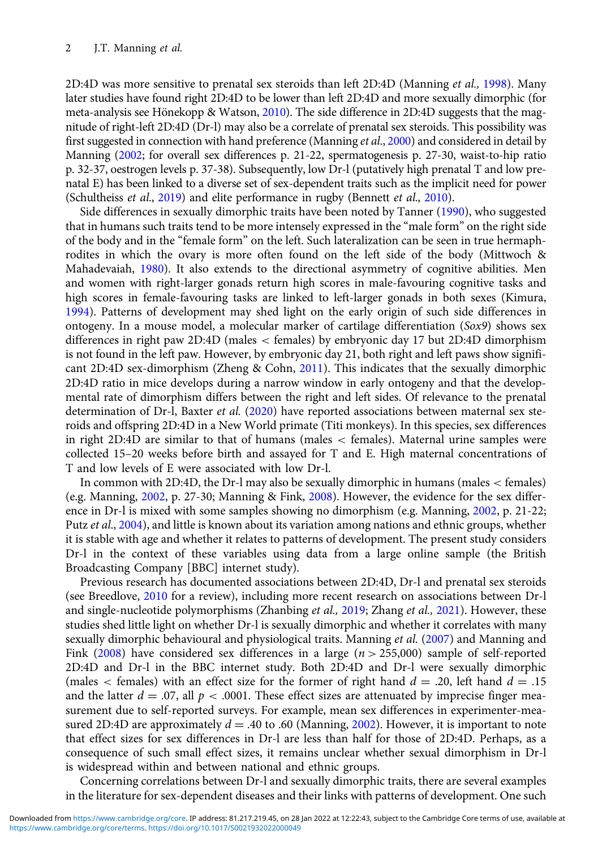2D:4D was more sensitive to prenatal sex steroids than left 2D:4D (Manning *et al.*, [1998](#page-11-0)). Many later studies have found right 2D:4D to be lower than left 2D:4D and more sexually dimorphic (for meta-analysis see Hönekopp & Watson, [2010\)](#page-11-0). The side difference in 2D:4D suggests that the magnitude of right-left 2D:4D (Dr-l) may also be a correlate of prenatal sex steroids. This possibility was first suggested in connection with hand preference (Manning et al., [2000](#page-11-0)) and considered in detail by Manning [\(2002](#page-11-0); for overall sex differences p. 21-22, spermatogenesis p. 27-30, waist-to-hip ratio p. 32-37, oestrogen levels p. 37-38). Subsequently, low Dr-l (putatively high prenatal T and low prenatal E) has been linked to a diverse set of sex-dependent traits such as the implicit need for power (Schultheiss et al., [2019\)](#page-12-0) and elite performance in rugby (Bennett et al., [2010](#page-11-0)).

Side differences in sexually dimorphic traits have been noted by Tanner ([1990](#page-12-0)), who suggested that in humans such traits tend to be more intensely expressed in the "male form" on the right side of the body and in the "female form" on the left. Such lateralization can be seen in true hermaphrodites in which the ovary is more often found on the left side of the body (Mittwoch & Mahadevaiah, [1980](#page-12-0)). It also extends to the directional asymmetry of cognitive abilities. Men and women with right-larger gonads return high scores in male-favouring cognitive tasks and high scores in female-favouring tasks are linked to left-larger gonads in both sexes (Kimura, [1994\)](#page-11-0). Patterns of development may shed light on the early origin of such side differences in ontogeny. In a mouse model, a molecular marker of cartilage differentiation  $(Sox9)$  shows sex differences in right paw 2D:4D (males < females) by embryonic day 17 but 2D:4D dimorphism is not found in the left paw. However, by embryonic day 21, both right and left paws show significant 2D:4D sex-dimorphism (Zheng & Cohn, [2011\)](#page-12-0). This indicates that the sexually dimorphic 2D:4D ratio in mice develops during a narrow window in early ontogeny and that the developmental rate of dimorphism differs between the right and left sides. Of relevance to the prenatal determination of Dr-l, Baxter et al. ([2020](#page-11-0)) have reported associations between maternal sex steroids and offspring 2D:4D in a New World primate (Titi monkeys). In this species, sex differences in right 2D:4D are similar to that of humans (males < females). Maternal urine samples were collected 15–20 weeks before birth and assayed for T and E. High maternal concentrations of T and low levels of E were associated with low Dr-l.

In common with 2D:4D, the Dr-l may also be sexually dimorphic in humans (males < females) (e.g. Manning, [2002](#page-11-0), p. 27-30; Manning & Fink, [2008](#page-11-0)). However, the evidence for the sex difference in Dr-l is mixed with some samples showing no dimorphism (e.g. Manning, [2002,](#page-11-0) p. 21-22; Putz et al., [2004\)](#page-12-0), and little is known about its variation among nations and ethnic groups, whether it is stable with age and whether it relates to patterns of development. The present study considers Dr-l in the context of these variables using data from a large online sample (the British Broadcasting Company [BBC] internet study).

Previous research has documented associations between 2D:4D, Dr-l and prenatal sex steroids (see Breedlove, [2010](#page-11-0) for a review), including more recent research on associations between Dr-l and single-nucleotide polymorphisms (Zhanbing et al., [2019](#page-12-0); Zhang et al., [2021\)](#page-12-0). However, these studies shed little light on whether Dr-l is sexually dimorphic and whether it correlates with many sexually dimorphic behavioural and physiological traits. Manning et al. [\(2007\)](#page-11-0) and Manning and Fink ([2008](#page-11-0)) have considered sex differences in a large ( $n > 255,000$ ) sample of self-reported 2D:4D and Dr-l in the BBC internet study. Both 2D:4D and Dr-l were sexually dimorphic (males  $\lt$  females) with an effect size for the former of right hand  $d = .20$ , left hand  $d = .15$ and the latter  $d = .07$ , all  $p < .0001$ . These effect sizes are attenuated by imprecise finger measurement due to self-reported surveys. For example, mean sex differences in experimenter-measured 2D:4D are approximately  $d = .40$  to .60 (Manning, [2002\)](#page-11-0). However, it is important to note that effect sizes for sex differences in Dr-l are less than half for those of 2D:4D. Perhaps, as a consequence of such small effect sizes, it remains unclear whether sexual dimorphism in Dr-l is widespread within and between national and ethnic groups.

Concerning correlations between Dr-l and sexually dimorphic traits, there are several examples in the literature for sex-dependent diseases and their links with patterns of development. One such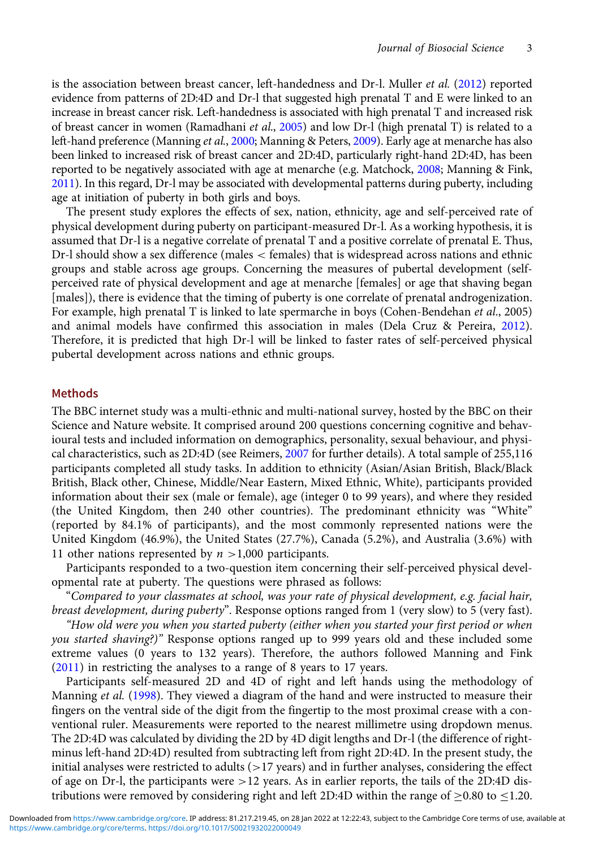is the association between breast cancer, left-handedness and Dr-l. Muller *et al.* ([2012\)](#page-12-0) reported evidence from patterns of 2D:4D and Dr-l that suggested high prenatal T and E were linked to an increase in breast cancer risk. Left-handedness is associated with high prenatal T and increased risk of breast cancer in women (Ramadhani et al., [2005\)](#page-12-0) and low Dr-l (high prenatal T) is related to a left-hand preference (Manning et al., [2000;](#page-11-0) Manning & Peters, [2009\)](#page-11-0). Early age at menarche has also been linked to increased risk of breast cancer and 2D:4D, particularly right-hand 2D:4D, has been reported to be negatively associated with age at menarche (e.g. Matchock, [2008](#page-11-0); Manning & Fink, [2011\)](#page-11-0). In this regard, Dr-l may be associated with developmental patterns during puberty, including age at initiation of puberty in both girls and boys.

The present study explores the effects of sex, nation, ethnicity, age and self-perceived rate of physical development during puberty on participant-measured Dr-l. As a working hypothesis, it is assumed that Dr-l is a negative correlate of prenatal T and a positive correlate of prenatal E. Thus, Dr-l should show a sex difference (males < females) that is widespread across nations and ethnic groups and stable across age groups. Concerning the measures of pubertal development (selfperceived rate of physical development and age at menarche [females] or age that shaving began [males]), there is evidence that the timing of puberty is one correlate of prenatal androgenization. For example, high prenatal T is linked to late spermarche in boys (Cohen-Bendehan et al., 2005) and animal models have confirmed this association in males (Dela Cruz & Pereira, [2012](#page-11-0)). Therefore, it is predicted that high Dr-l will be linked to faster rates of self-perceived physical pubertal development across nations and ethnic groups.

## Methods

The BBC internet study was a multi-ethnic and multi-national survey, hosted by the BBC on their Science and Nature website. It comprised around 200 questions concerning cognitive and behavioural tests and included information on demographics, personality, sexual behaviour, and physical characteristics, such as 2D:4D (see Reimers, [2007](#page-12-0) for further details). A total sample of 255,116 participants completed all study tasks. In addition to ethnicity (Asian/Asian British, Black/Black British, Black other, Chinese, Middle/Near Eastern, Mixed Ethnic, White), participants provided information about their sex (male or female), age (integer 0 to 99 years), and where they resided (the United Kingdom, then 240 other countries). The predominant ethnicity was "White" (reported by 84.1% of participants), and the most commonly represented nations were the United Kingdom (46.9%), the United States (27.7%), Canada (5.2%), and Australia (3.6%) with 11 other nations represented by  $n > 1,000$  participants.

Participants responded to a two-question item concerning their self-perceived physical developmental rate at puberty. The questions were phrased as follows:

"Compared to your classmates at school, was your rate of physical development, e.g. facial hair, breast development, during puberty". Response options ranged from 1 (very slow) to 5 (very fast).

"How old were you when you started puberty (either when you started your first period or when you started shaving?)" Response options ranged up to 999 years old and these included some extreme values (0 years to 132 years). Therefore, the authors followed Manning and Fink [\(2011\)](#page-11-0) in restricting the analyses to a range of 8 years to 17 years.

Participants self-measured 2D and 4D of right and left hands using the methodology of Manning et al. [\(1998](#page-11-0)). They viewed a diagram of the hand and were instructed to measure their fingers on the ventral side of the digit from the fingertip to the most proximal crease with a conventional ruler. Measurements were reported to the nearest millimetre using dropdown menus. The 2D:4D was calculated by dividing the 2D by 4D digit lengths and Dr-l (the difference of rightminus left-hand 2D:4D) resulted from subtracting left from right 2D:4D. In the present study, the initial analyses were restricted to adults  $(>17$  years) and in further analyses, considering the effect of age on Dr-l, the participants were  $>12$  years. As in earlier reports, the tails of the 2D:4D distributions were removed by considering right and left 2D:4D within the range of  $\geq$ 0.80 to  $\leq$ 1.20.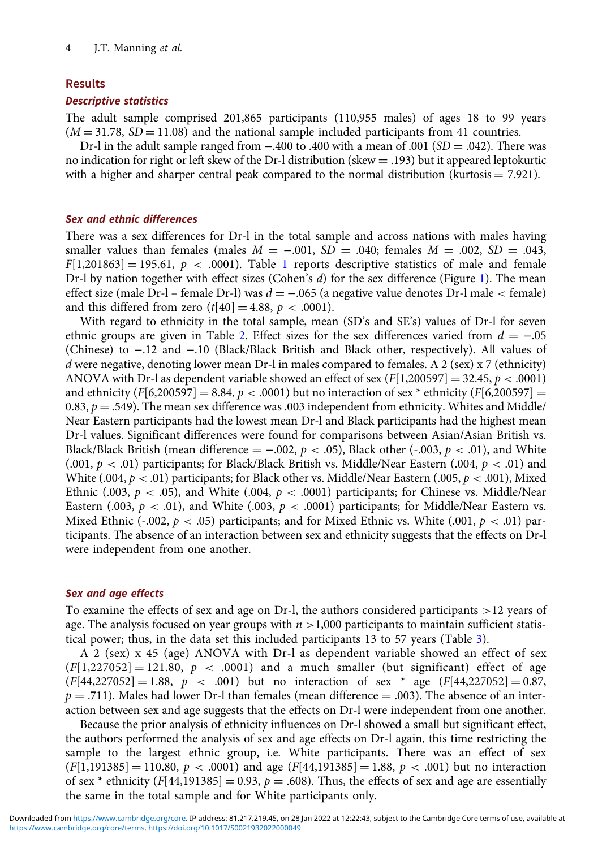## Results

## Descriptive statistics

The adult sample comprised 201,865 participants (110,955 males) of ages 18 to 99 years  $(M = 31.78, SD = 11.08)$  and the national sample included participants from 41 countries.

Dr-l in the adult sample ranged from  $-.400$  to .400 with a mean of .001 ( $SD = .042$ ). There was no indication for right or left skew of the Dr-l distribution (skew = .193) but it appeared leptokurtic with a higher and sharper central peak compared to the normal distribution (kurtosis  $= 7.921$ ).

## Sex and ethnic differences

There was a sex differences for Dr-l in the total sample and across nations with males having smaller values than females (males  $M = -0.01$ ,  $SD = 0.040$ ; females  $M = 0.002$ ,  $SD = 0.043$ ,  $F[1,201863] = 195.61$  $F[1,201863] = 195.61$  $F[1,201863] = 195.61$ ,  $p < .0001$ ). Table 1 reports descriptive statistics of male and female Dr-l by nation together with effect sizes (Cohen's  $d$ ) for the sex difference (Figure [1](#page-6-0)). The mean effect size (male Dr-l – female Dr-l) was  $d = -.065$  (a negative value denotes Dr-l male  $\lt$  female) and this differed from zero  $(t[40] = 4.88, p < .0001)$ .

With regard to ethnicity in the total sample, mean (SD's and SE's) values of Dr-l for seven ethnic groups are given in Table [2](#page-7-0). Effect sizes for the sex differences varied from  $d = -0.05$ (Chinese) to −.12 and −.10 (Black/Black British and Black other, respectively). All values of d were negative, denoting lower mean Dr-l in males compared to females. A 2 (sex)  $x$  7 (ethnicity) ANOVA with Dr-l as dependent variable showed an effect of sex ( $F[1,200597] = 32.45$ ,  $p < .0001$ ) and ethnicity  $(F[6,200597] = 8.84, p < .0001)$  but no interaction of sex  $*$  ethnicity  $(F[6,200597] =$ 0.83,  $p = .549$ ). The mean sex difference was .003 independent from ethnicity. Whites and Middle/ Near Eastern participants had the lowest mean Dr-l and Black participants had the highest mean Dr-l values. Significant differences were found for comparisons between Asian/Asian British vs. Black/Black British (mean difference =  $-0.002$ ,  $p < 0.05$ ), Black other (-0.003,  $p < 0.01$ ), and White  $(.001, p < .01)$  participants; for Black/Black British vs. Middle/Near Eastern  $(.004, p < .01)$  and White (.004,  $p < .01$ ) participants; for Black other vs. Middle/Near Eastern (.005,  $p < .001$ ), Mixed Ethnic (.003,  $p < .05$ ), and White (.004,  $p < .0001$ ) participants; for Chinese vs. Middle/Near Eastern (.003,  $p < .01$ ), and White (.003,  $p < .0001$ ) participants; for Middle/Near Eastern vs. Mixed Ethnic (-.002,  $p < .05$ ) participants; and for Mixed Ethnic vs. White (.001,  $p < .01$ ) participants. The absence of an interaction between sex and ethnicity suggests that the effects on Dr-l were independent from one another.

## Sex and age effects

To examine the effects of sex and age on Dr-l, the authors considered participants >12 years of age. The analysis focused on year groups with  $n > 1,000$  participants to maintain sufficient statistical power; thus, in the data set this included participants 13 to 57 years (Table [3\)](#page-8-0).

A 2 (sex) x 45 (age) ANOVA with Dr-l as dependent variable showed an effect of sex  $(F[1,227052] = 121.80, p < .0001)$  and a much smaller (but significant) effect of age  $(F[44,227052] = 1.88, p < .001)$  but no interaction of sex  $*$  age  $(F[44,227052] = 0.87,$  $p = .711$ ). Males had lower Dr-l than females (mean difference  $= .003$ ). The absence of an interaction between sex and age suggests that the effects on Dr-l were independent from one another.

Because the prior analysis of ethnicity influences on Dr-l showed a small but significant effect, the authors performed the analysis of sex and age effects on Dr-l again, this time restricting the sample to the largest ethnic group, i.e. White participants. There was an effect of sex  $(F[1,191385] = 110.80, p < .0001)$  and age  $(F[44,191385] = 1.88, p < .001)$  but no interaction of sex  $*$  ethnicity (F[44,191385] = 0.93,  $p = .608$ ). Thus, the effects of sex and age are essentially the same in the total sample and for White participants only.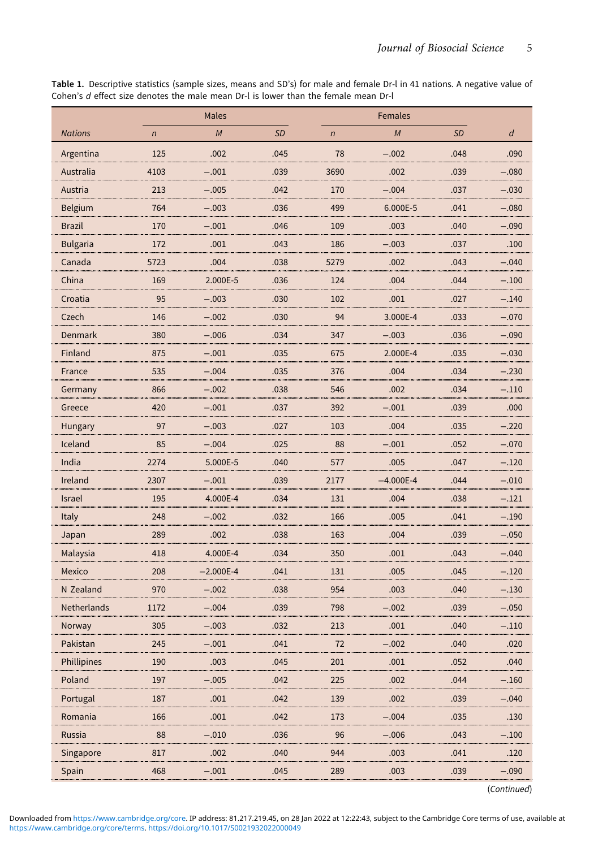<span id="page-4-0"></span>Table 1. Descriptive statistics (sample sizes, means and SD's) for male and female Dr-l in 41 nations. A negative value of Cohen's d effect size denotes the male mean Dr-l is lower than the female mean Dr-l

|                 |                | <b>Males</b> |           |                |             |           |         |
|-----------------|----------------|--------------|-----------|----------------|-------------|-----------|---------|
| <b>Nations</b>  | $\overline{n}$ | M            | <b>SD</b> | $\overline{n}$ | M           | <b>SD</b> | d       |
| Argentina       | 125            | .002         | .045      | 78             | $-.002$     | .048      | .090    |
| Australia       | 4103           | $-.001$      | .039      | 3690           | .002        | .039      | $-.080$ |
| Austria         | 213            | $-.005$      | .042      | 170            | $-.004$     | .037      | $-.030$ |
| Belgium         | 764            | $-.003$      | .036      | 499            | 6.000E-5    | .041      | $-.080$ |
| <b>Brazil</b>   | 170            | $-.001$      | .046      | 109            | .003        | .040      | $-.090$ |
| <b>Bulgaria</b> | 172            | .001         | .043      | 186            | $-.003$     | .037      | .100    |
| Canada          | 5723           | .004         | .038      | 5279           | .002        | .043      | $-.040$ |
| China           | 169            | 2.000E-5     | .036      | 124            | .004        | .044      | $-.100$ |
| Croatia         | 95             | $-.003$      | .030      | 102            | .001        | .027      | $-.140$ |
| Czech           | 146            | $-.002$      | .030      | 94             | 3.000E-4    | .033      | $-.070$ |
| Denmark         | 380            | $-.006$      | .034      | 347            | $-.003$     | .036      | $-.090$ |
| Finland         | 875            | $-.001$      | .035      | 675            | 2.000E-4    | .035      | $-.030$ |
| France          | 535            | $-.004$      | .035      | 376            | .004        | .034      | $-.230$ |
| Germany         | 866            | $-.002$      | .038      | 546            | .002        | .034      | $-.110$ |
| Greece          | 420            | $-.001$      | .037      | 392            | $-.001$     | .039      | .000    |
| Hungary         | 97             | $-.003$      | .027      | 103            | .004        | .035      | $-.220$ |
| Iceland         | 85             | $-.004$      | .025      | 88             | $-.001$     | .052      | $-.070$ |
| India           | 2274           | 5.000E-5     | .040      | 577            | .005        | .047      | $-.120$ |
| Ireland         | 2307           | $-.001$      | .039      | 2177           | $-4.000E-4$ | .044      | $-.010$ |
| <b>Israel</b>   | 195            | 4.000E-4     | .034      | 131            | .004        | .038      | $-.121$ |
| Italy           | 248            | $-.002$      | .032      | 166            | .005        | .041      | $-.190$ |
| Japan           | 289            | .002         | .038      | 163            | .004        | .039      | $-.050$ |
| Malaysia        | 418            | 4.000E-4     | .034      | 350            | .001        | .043      | $-.040$ |
| Mexico          | 208            | $-2.000E-4$  | .041      | 131            | .005        | .045      | $-.120$ |
| N Zealand       | 970            | $-.002$      | .038      | 954            | .003        | .040      | $-.130$ |
| Netherlands     | 1172           | $-.004$      | .039      | 798            | $-.002$     | .039      | $-.050$ |
| Norway          | 305            | $-.003$      | .032      | 213            | .001        | .040      | $-.110$ |
| Pakistan        | 245            | $-.001$      | .041      | 72             | $-.002$     | .040      | .020    |
| Phillipines     | 190            | .003         | .045      | 201            | .001        | .052      | .040    |
| Poland          | 197            | $-.005$      | .042      | 225            | .002        | .044      | $-.160$ |
| Portugal        | 187            | .001         | .042      | 139            | .002        | .039      | $-.040$ |
| Romania         | 166            | .001         | .042      | 173            | $-.004$     | .035      | .130    |
| Russia          | 88             | $-.010$      | .036      | 96             | $-.006$     | .043      | $-.100$ |
| Singapore       | 817            | .002         | .040      | 944            | .003        | .041      | .120    |
| Spain           | 468            | $-.001$      | .045      | 289            | .003        | .039      | $-.090$ |

(Continued)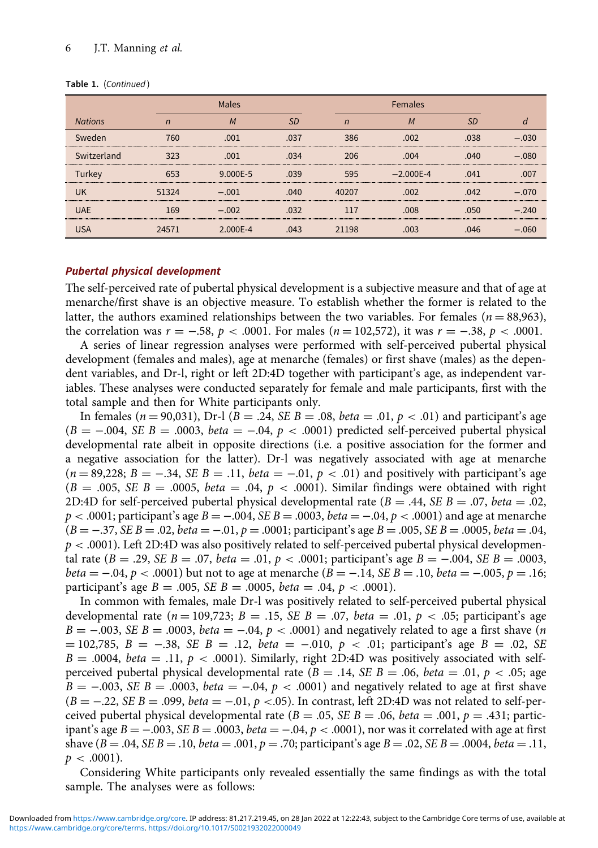#### Table 1. (Continued)

|                |       | Males    |               |       | <b>Females</b> |                   |         |  |
|----------------|-------|----------|---------------|-------|----------------|-------------------|---------|--|
| <b>Nations</b> |       |          | $\varsigma$ r |       | M              | SD.               |         |  |
| Sweden         | 760   | .001     | .037          | 386   | .002           | .038              | $-030$  |  |
| Switzerland    | 323   | .001     | .034          | 206   | .004           | 040               | $-.080$ |  |
| Turkey         | 653   | 9.000F-5 | 039           | 595   | $-2.000F - 4$  | $\bigcap_{i=1}^n$ | 007     |  |
| <b>UK</b>      | 51324 | $-.001$  | .040          | 40207 | .002           | 042               | $-.070$ |  |
| <b>UAE</b>     | 169   | $-.002$  | .032          |       | .008           | <b>050</b>        | $-.240$ |  |
|                | 24571 | 2 NNNF-4 | .043          | 198   | oos            |                   |         |  |

## Pubertal physical development

The self-perceived rate of pubertal physical development is a subjective measure and that of age at menarche/first shave is an objective measure. To establish whether the former is related to the latter, the authors examined relationships between the two variables. For females ( $n = 88,963$ ), the correlation was  $r = -.58$ ,  $p < .0001$ . For males ( $n = 102,572$ ), it was  $r = -.38$ ,  $p < .0001$ .

A series of linear regression analyses were performed with self-perceived pubertal physical development (females and males), age at menarche (females) or first shave (males) as the dependent variables, and Dr-l, right or left 2D:4D together with participant's age, as independent variables. These analyses were conducted separately for female and male participants, first with the total sample and then for White participants only.

In females ( $n = 90,031$ ), Dr-1 ( $B = .24$ , SE  $B = .08$ , beta = .01,  $p < .01$ ) and participant's age  $(B = -.004, SE B = .0003, beta = -.04, p < .0001)$  predicted self-perceived pubertal physical developmental rate albeit in opposite directions (i.e. a positive association for the former and a negative association for the latter). Dr-l was negatively associated with age at menarche  $(n = 89,228; B = -.34, SE B = .11, beta = -.01, p < .01)$  and positively with participant's age  $(B = .005, SE B = .0005, beta = .04, p < .0001)$ . Similar findings were obtained with right 2D:4D for self-perceived pubertal physical developmental rate ( $B = .44$ ,  $SE B = .07$ , beta = .02,  $p < .0001$ ; participant's age  $B = -.004$ ,  $SE B = .0003$ ,  $beta = -.04$ ,  $p < .0001$ ) and age at menarche  $(B = -.37, SE B = .02, beta = -.01, p = .0001;$  participant's age  $B = .005, SE B = .0005, beta = .04$ ,  $p < .0001$ ). Left 2D:4D was also positively related to self-perceived pubertal physical developmental rate  $(B = .29, SE B = .07, beta = .01, p < .0001$ ; participant's age  $B = -.004, SE B = .0003$ , beta =  $-0.04$ , p < .0001) but not to age at menarche (B =  $-0.14$ , SE B = .10, beta =  $-0.005$ , p = .16; participant's age  $B = .005$ ,  $SE B = .0005$ ,  $beta = .04$ ,  $p < .0001$ ).

In common with females, male Dr-l was positively related to self-perceived pubertal physical developmental rate ( $n = 109,723$ ;  $B = .15$ ,  $SE B = .07$ ,  $beta = .01$ ,  $p < .05$ ; participant's age  $B = -0.003$ , SE  $B = 0.0003$ , beta =  $-0.04$ ,  $p < 0.001$  and negatively related to age a first shave (*n*  $= 102,785, B = -.38, SE B = .12, beta = -.010, p < .01;$  participant's age  $B = .02, SE$  $B = .0004$ , beta = .11,  $p < .0001$ ). Similarly, right 2D:4D was positively associated with selfperceived pubertal physical developmental rate ( $B = .14$ ,  $SE B = .06$ ,  $beta = .01$ ,  $p < .05$ ; age  $B = -0.003$ , SE  $B = 0.0003$ , beta = -0.04,  $p < 0.0001$  and negatively related to age at first shave  $(B = -.22, SE B = .099, beta = -.01, p < .05)$ . In contrast, left 2D:4D was not related to self-perceived pubertal physical developmental rate ( $B = .05$ ,  $SE B = .06$ ,  $beta = .001$ ,  $p = .431$ ; participant's age  $B = -.003$ ,  $SE B = .0003$ ,  $beta = -.04$ ,  $p < .0001$ ), nor was it correlated with age at first shave  $(B = .04, SE B = .10, beta = .001, p = .70;$  participant's age  $B = .02, SE B = .0004, beta = .11,$  $p < .0001$ ).

Considering White participants only revealed essentially the same findings as with the total sample. The analyses were as follows: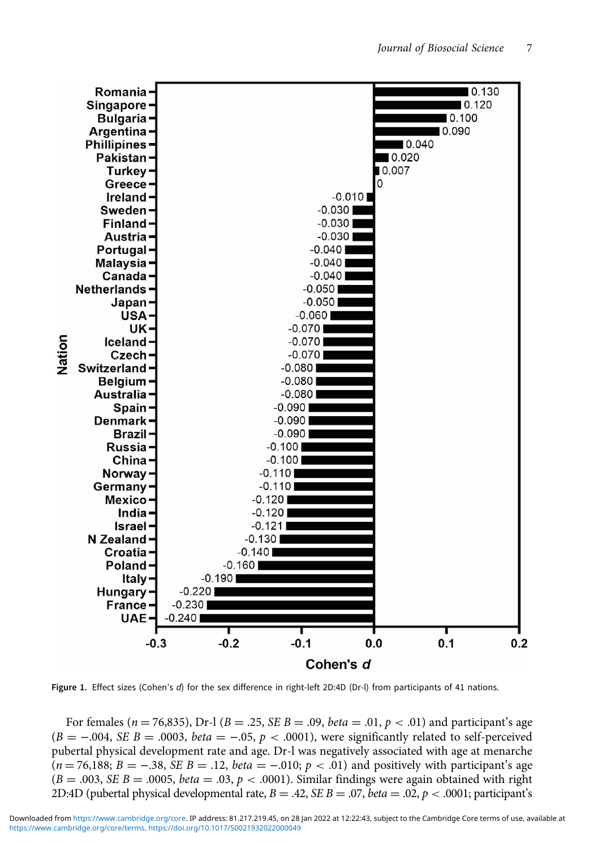<span id="page-6-0"></span>

Figure 1. Effect sizes (Cohen's d) for the sex difference in right-left 2D:4D (Dr-l) from participants of 41 nations.

For females ( $n = 76,835$ ), Dr-l ( $B = .25$ , SE  $B = .09$ , *beta* = .01,  $p < .01$ ) and participant's age  $(B = -.004, SE B = .0003, beta = -.05, p < .0001)$ , were significantly related to self-perceived pubertal physical development rate and age. Dr-l was negatively associated with age at menarche  $(n = 76,188; B = -.38, SE B = .12, beta = -.010; p < .01)$  and positively with participant's age  $(B = .003, SE B = .0005, beta = .03, p < .0001)$ . Similar findings were again obtained with right 2D:4D (pubertal physical developmental rate,  $B = .42$ ,  $SE B = .07$ ,  $beta = .02$ ,  $p < .0001$ ; participant's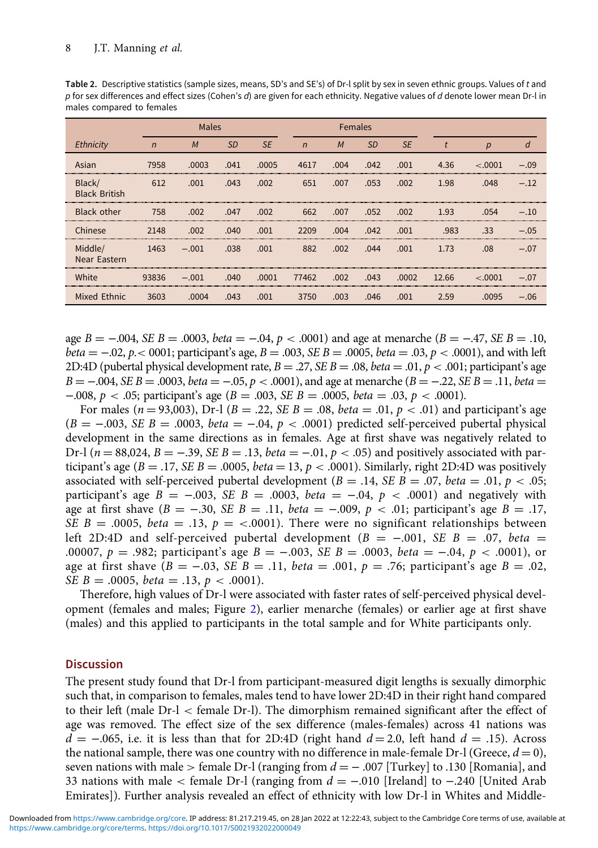<span id="page-7-0"></span>

| Table 2. Descriptive statistics (sample sizes, means, SD's and SE's) of Dr-I split by sex in seven ethnic groups. Values of t and |
|-----------------------------------------------------------------------------------------------------------------------------------|
| p for sex differences and effect sizes (Cohen's d) are given for each ethnicity. Negative values of d denote lower mean Dr-l in   |
| males compared to females                                                                                                         |

|                                |              | Males   |           |           | <b>Females</b> |      |           |           |       |         |        |
|--------------------------------|--------------|---------|-----------|-----------|----------------|------|-----------|-----------|-------|---------|--------|
| Ethnicity                      | $\mathsf{n}$ | M       | <b>SD</b> | <b>SE</b> | $\overline{n}$ | M    | <b>SD</b> | <b>SE</b> |       | р       | a      |
| Asian                          | 7958         | .0003   | .041      | .0005     | 4617           | .004 | .042      | .001      | 4.36  | < 0.001 | - 09   |
| Black/<br><b>Black British</b> | 612          | .001    | .043      | .002      | 651            | .007 | .053      | .002      | 1.98  | .048    | $-12$  |
| Black other                    | 758          | .002    | .047      | .002      | 662            | .007 | .052      | .002      | 1.93  | .054    | $-10$  |
| Chinese                        | 2148         | .002    | .040      | .001      | 2209           | .004 | .042      | .001      | .983  | .33     | $-.05$ |
| Middle/<br>Near Eastern        | 1463         | $-.001$ | .038      | .001      | 882            | .002 | .044      | .001      | 1.73  | .08     | $-07$  |
| White                          | 93836        | $-.001$ | .040      | .0001     | 77462          | .002 | .043      | .0002     | 12.66 | < 0.001 | — ი7   |
| Mixed Ethnic                   | 3603         | .0004   | .043      | .001      | 3750           | .003 | .046      | .001      | 2.59  | .0095   | $-.06$ |

age  $B = -0.004$ , SE  $B = 0.0003$ , beta =  $-0.04$ ,  $p < 0.0001$ ) and age at menarche ( $B = -0.47$ , SE  $B = 0.10$ ,  $beta = -0.02$ ,  $p < 0.001$ ; participant's age,  $B = .003$ ,  $SE B = .0005$ ,  $beta = .03$ ,  $p < .0001$ ), and with left 2D:4D (pubertal physical development rate,  $B = .27$ ,  $SE B = .08$ ,  $beta = .01$ ,  $p < .001$ ; participant's age  $B = -0.04$ , SE  $B = 0.0003$ , beta =  $-0.05$ ,  $p < 0.001$ ), and age at menarche ( $B = -0.22$ , SE  $B = 0.11$ , beta = −.008, *p* < .05; participant's age (*B* = .003, *SE B* = .0005, *beta* = .03, *p* < .0001).

For males ( $n = 93,003$ ), Dr-l ( $B = .22$ , SE  $B = .08$ , beta = .01,  $p < .01$ ) and participant's age  $(B = -.003, SE B = .0003, beta = -.04, p < .0001)$  predicted self-perceived pubertal physical development in the same directions as in females. Age at first shave was negatively related to Dr-l ( $n = 88,024$ ,  $B = -.39$ , SE  $B = .13$ , beta = -0.01,  $p < .05$ ) and positively associated with participant's age ( $B = .17$ , SE  $B = .0005$ , *beta* = 13,  $p < .0001$ ). Similarly, right 2D:4D was positively associated with self-perceived pubertal development ( $B = .14$ ,  $SE B = .07$ ,  $beta = .01$ ,  $p < .05$ ; participant's age  $B = -.003$ , SE  $B = .0003$ , beta = -0.04, p < .0001) and negatively with age at first shave  $(B = -.30, SE B = .11, beta = -.009, p < .01$ ; participant's age  $B = .17$ , SE  $B = 0.0005$ , beta = .13,  $p = < 0.0001$ ). There were no significant relationships between left 2D:4D and self-perceived pubertal development ( $B = -.001$ , SE B = .07, beta = .00007, p = .982; participant's age  $B = -0.003$ ,  $SE B = 0.0003$ ,  $beta = -0.04$ , p < .0001), or age at first shave  $(B = -.03, SE B = .11, beta = .001, p = .76;$  participant's age  $B = .02$ , SE  $B = .0005$ , *beta* = .13,  $p < .0001$ ).

Therefore, high values of Dr-l were associated with faster rates of self-perceived physical development (females and males; Figure [2](#page-9-0)), earlier menarche (females) or earlier age at first shave (males) and this applied to participants in the total sample and for White participants only.

## **Discussion**

The present study found that Dr-l from participant-measured digit lengths is sexually dimorphic such that, in comparison to females, males tend to have lower 2D:4D in their right hand compared to their left (male Dr-l < female Dr-l). The dimorphism remained significant after the effect of age was removed. The effect size of the sex difference (males-females) across 41 nations was  $d = -0.065$ , i.e. it is less than that for 2D:4D (right hand  $d = 2.0$ , left hand  $d = 0.15$ ). Across the national sample, there was one country with no difference in male-female Dr-I (Greece,  $d = 0$ ), seven nations with male > female Dr-l (ranging from  $d = -0.007$  [Turkey] to .130 [Romania], and 33 nations with male < female Dr-l (ranging from  $d = -0.010$  [Ireland] to  $-0.240$  [United Arab Emirates]). Further analysis revealed an effect of ethnicity with low Dr-l in Whites and Middle-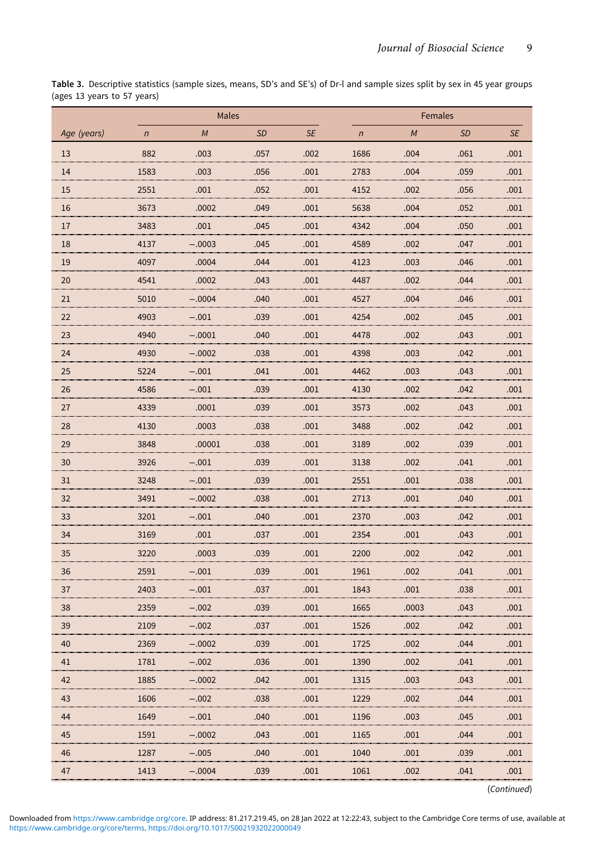<span id="page-8-0"></span>Table 3. Descriptive statistics (sample sizes, means, SD's and SE's) of Dr-l and sample sizes split by sex in 45 year groups (ages 13 years to 57 years)

|             |            | Males    |           |           | Females    |       |           |           |  |  |
|-------------|------------|----------|-----------|-----------|------------|-------|-----------|-----------|--|--|
| Age (years) | $\sqrt{n}$ | M        | <b>SD</b> | <b>SE</b> | $\sqrt{n}$ | M     | <b>SD</b> | <b>SE</b> |  |  |
| 13          | 882        | .003     | .057      | .002      | 1686       | .004  | .061      | .001      |  |  |
| 14          | 1583       | .003     | .056      | .001      | 2783       | .004  | .059      | .001      |  |  |
| 15          | 2551       | .001     | .052      | .001      | 4152       | .002  | .056      | .001      |  |  |
| 16          | 3673       | .0002    | .049      | .001      | 5638       | .004  | .052      | .001      |  |  |
| 17          | 3483       | .001     | .045      | .001      | 4342       | .004  | .050      | .001      |  |  |
| 18          | 4137       | $-.0003$ | .045      | .001      | 4589       | .002  | .047      | .001      |  |  |
| 19          | 4097       | .0004    | .044      | .001      | 4123       | .003  | .046      | .001      |  |  |
| 20          | 4541       | .0002    | .043      | .001      | 4487       | .002  | .044      | .001      |  |  |
| 21          | 5010       | $-.0004$ | .040      | .001      | 4527       | .004  | .046      | .001      |  |  |
| 22          | 4903       | $-.001$  | .039      | .001      | 4254       | .002  | .045      | .001      |  |  |
| 23          | 4940       | $-.0001$ | .040      | .001      | 4478       | .002  | .043      | .001      |  |  |
| 24          | 4930       | $-.0002$ | .038      | .001      | 4398       | .003  | .042      | .001      |  |  |
| 25          | 5224       | $-.001$  | .041      | .001      | 4462       | .003  | .043      | .001      |  |  |
| 26          | 4586       | $-.001$  | .039      | .001      | 4130       | .002  | .042      | .001      |  |  |
| 27          | 4339       | .0001    | .039      | .001      | 3573       | .002  | .043      | .001      |  |  |
| 28          | 4130       | .0003    | .038      | .001      | 3488       | .002  | .042      | .001      |  |  |
| 29          | 3848       | .00001   | .038      | .001      | 3189       | .002  | .039      | .001      |  |  |
| 30          | 3926       | $-.001$  | .039      | .001      | 3138       | .002  | .041      | .001      |  |  |
| 31          | 3248       | $-.001$  | .039      | .001      | 2551       | .001  | .038      | .001      |  |  |
| 32          | 3491       | $-.0002$ | .038      | .001      | 2713       | .001  | .040      | .001      |  |  |
| 33          | 3201       | $-.001$  | .040      | .001      | 2370       | .003  | .042      | .001      |  |  |
| 34          | 3169       | .001     | .037      | .001      | 2354       | .001  | .043      | .001      |  |  |
| 35          | 3220       | .0003    | .039      | .001      | 2200       | .002  | .042      | .001      |  |  |
| 36          | 2591       | $-.001$  | .039      | .001      | 1961       | .002  | .041      | .001      |  |  |
| 37          | 2403       | $-.001$  | .037      | .001      | 1843       | .001  | .038      | .001      |  |  |
| 38          | 2359       | $-.002$  | .039      | .001      | 1665       | .0003 | .043      | .001      |  |  |
| 39          | 2109       | $-.002$  | .037      | .001      | 1526       | .002  | .042      | .001      |  |  |
| 40          | 2369       | $-.0002$ | .039      | .001      | 1725       | .002  | .044      | .001      |  |  |
| 41          | 1781       | $-.002$  | .036      | .001      | 1390       | .002  | .041      | .001      |  |  |
| 42          | 1885       | $-.0002$ | .042      | .001      | 1315       | .003  | .043      | .001      |  |  |
| 43          | 1606       | $-.002$  | .038      | .001      | 1229       | .002  | .044      | .001      |  |  |
| 44          | 1649       | $-.001$  | .040      | .001      | 1196       | .003  | .045      | .001      |  |  |
| 45          | 1591       | $-.0002$ | .043      | .001      | 1165       | .001  | .044      | .001      |  |  |
| 46          | 1287       | $-.005$  | .040      | .001      | 1040       | .001  | .039      | .001      |  |  |
| 47          | 1413       | $-.0004$ | .039      | .001      | 1061       | .002  | .041      | .001      |  |  |

(Continued)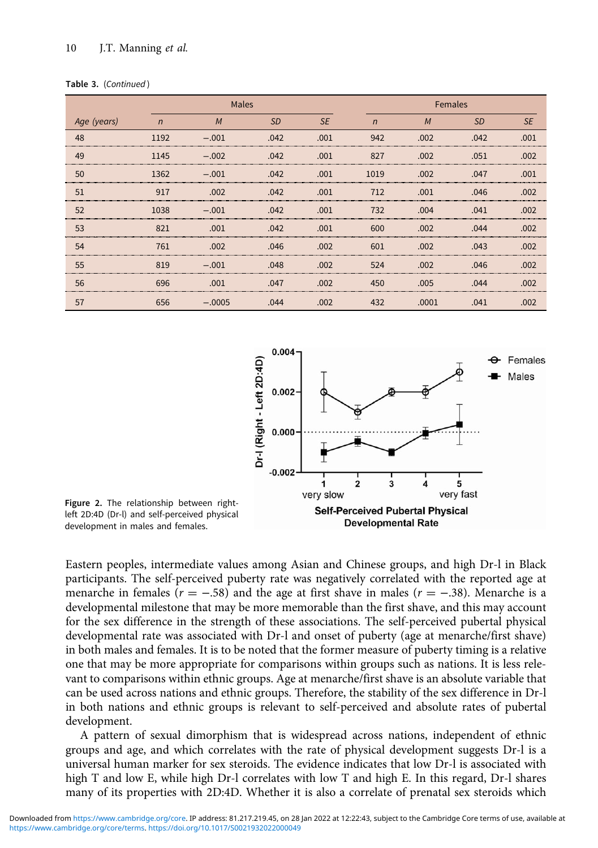## <span id="page-9-0"></span>10 J.T. Manning et al.

|  | Table 3. (Continued) |
|--|----------------------|
|  |                      |

|             |                                             | Males    |           |           |                                          | Females |            |           |
|-------------|---------------------------------------------|----------|-----------|-----------|------------------------------------------|---------|------------|-----------|
| Age (years) | $\sqrt{n}$                                  | M        | <b>SD</b> | <b>SE</b> | $\mathsf{n}$                             | M       | <b>SD</b>  | <b>SE</b> |
| 48          | 1192                                        | $-.001$  | .042      | .001      | 942                                      | .002    | .042       | 001       |
| 49          | 1145<br>,,,,,,,,,,,,,,,,,,,,,,,,,,,,,,,,,,, | $-.002$  | .042      | 001       | 827                                      | 002     | 051        | നറ        |
| 50          | 1362                                        | $-.001$  | .042      | .001      | 1019                                     | .002    | .047       | .001      |
| 51          | 917                                         | .002     | .042      | .001      | 712<br>,,,,,,,,,,,,,,,,,,,,,,,,,,,,,,,,, | .001    | .046       | .002      |
| 52          | 1038                                        | $-001$   | .042      | .001      | 732                                      | .004    | $\Omega$ 1 | 002       |
| 53          | 82                                          | .001     | .042      | .001      | 600                                      | നാ      | 044        |           |
| 54          | 761                                         | .002     | .046      | .002      | 601<br>                                  | നാ      | 043        |           |
| 55          | 819                                         | $-.001$  | .048      | .002      | 524                                      | .002    | .046       | നാ        |
| 56          | 696                                         | .001     | .047      | .002      | 450                                      | .005    | 044        | നറ        |
| 57          | 656                                         | $-.0005$ | .044      | .002      | 432                                      | .0001   | .041       | 002       |



Figure 2. The relationship between rightleft 2D:4D (Dr-l) and self-perceived physical development in males and females.

Eastern peoples, intermediate values among Asian and Chinese groups, and high Dr-l in Black participants. The self-perceived puberty rate was negatively correlated with the reported age at menarche in females ( $r = -.58$ ) and the age at first shave in males ( $r = -.38$ ). Menarche is a developmental milestone that may be more memorable than the first shave, and this may account for the sex difference in the strength of these associations. The self-perceived pubertal physical developmental rate was associated with Dr-l and onset of puberty (age at menarche/first shave) in both males and females. It is to be noted that the former measure of puberty timing is a relative one that may be more appropriate for comparisons within groups such as nations. It is less relevant to comparisons within ethnic groups. Age at menarche/first shave is an absolute variable that can be used across nations and ethnic groups. Therefore, the stability of the sex difference in Dr-l in both nations and ethnic groups is relevant to self-perceived and absolute rates of pubertal development.

A pattern of sexual dimorphism that is widespread across nations, independent of ethnic groups and age, and which correlates with the rate of physical development suggests Dr-l is a universal human marker for sex steroids. The evidence indicates that low Dr-l is associated with high T and low E, while high Dr-l correlates with low T and high E. In this regard, Dr-l shares many of its properties with 2D:4D. Whether it is also a correlate of prenatal sex steroids which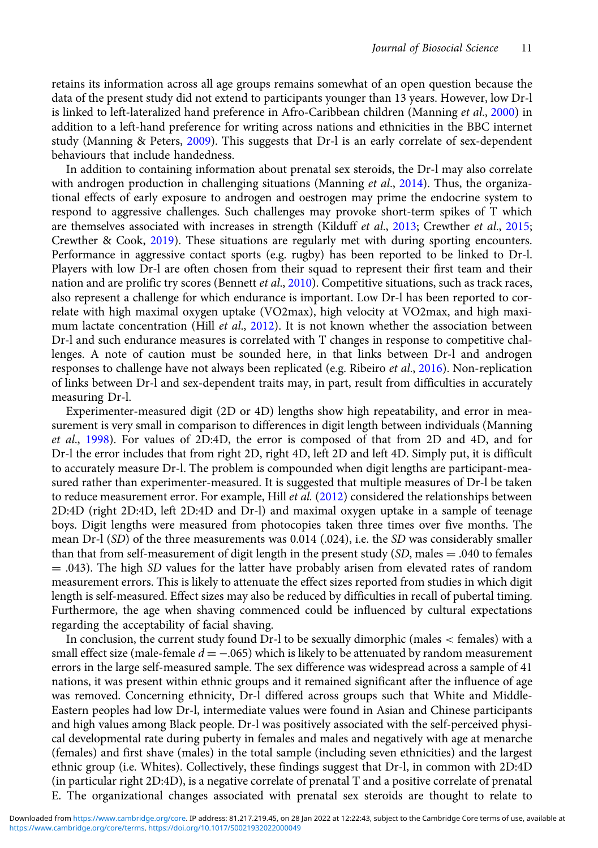retains its information across all age groups remains somewhat of an open question because the data of the present study did not extend to participants younger than 13 years. However, low Dr-l is linked to left-lateralized hand preference in Afro-Caribbean children (Manning et al., [2000\)](#page-11-0) in addition to a left-hand preference for writing across nations and ethnicities in the BBC internet study (Manning & Peters, [2009\)](#page-11-0). This suggests that Dr-l is an early correlate of sex-dependent behaviours that include handedness.

In addition to containing information about prenatal sex steroids, the Dr-l may also correlate with androgen production in challenging situations (Manning et al., [2014\)](#page-11-0). Thus, the organizational effects of early exposure to androgen and oestrogen may prime the endocrine system to respond to aggressive challenges. Such challenges may provoke short-term spikes of T which are themselves associated with increases in strength (Kilduff et al., [2013;](#page-11-0) Crewther et al., [2015;](#page-11-0) Crewther & Cook, [2019\)](#page-11-0). These situations are regularly met with during sporting encounters. Performance in aggressive contact sports (e.g. rugby) has been reported to be linked to Dr-l. Players with low Dr-l are often chosen from their squad to represent their first team and their nation and are prolific try scores (Bennett et al., [2010](#page-11-0)). Competitive situations, such as track races, also represent a challenge for which endurance is important. Low Dr-l has been reported to correlate with high maximal oxygen uptake (VO2max), high velocity at VO2max, and high maximum lactate concentration (Hill *et al.*, [2012](#page-11-0)). It is not known whether the association between Dr-l and such endurance measures is correlated with T changes in response to competitive challenges. A note of caution must be sounded here, in that links between Dr-l and androgen responses to challenge have not always been replicated (e.g. Ribeiro et al., [2016](#page-12-0)). Non-replication of links between Dr-l and sex-dependent traits may, in part, result from difficulties in accurately measuring Dr-l.

Experimenter-measured digit (2D or 4D) lengths show high repeatability, and error in measurement is very small in comparison to differences in digit length between individuals (Manning et al., [1998](#page-11-0)). For values of 2D:4D, the error is composed of that from 2D and 4D, and for Dr-l the error includes that from right 2D, right 4D, left 2D and left 4D. Simply put, it is difficult to accurately measure Dr-l. The problem is compounded when digit lengths are participant-measured rather than experimenter-measured. It is suggested that multiple measures of Dr-l be taken to reduce measurement error. For example, Hill et al. ([2012](#page-11-0)) considered the relationships between 2D:4D (right 2D:4D, left 2D:4D and Dr-l) and maximal oxygen uptake in a sample of teenage boys. Digit lengths were measured from photocopies taken three times over five months. The mean Dr-l (SD) of the three measurements was 0.014 (.024), i.e. the SD was considerably smaller than that from self-measurement of digit length in the present study  $(S_D)$ , males  $= .040$  to females  $=$  .043). The high SD values for the latter have probably arisen from elevated rates of random measurement errors. This is likely to attenuate the effect sizes reported from studies in which digit length is self-measured. Effect sizes may also be reduced by difficulties in recall of pubertal timing. Furthermore, the age when shaving commenced could be influenced by cultural expectations regarding the acceptability of facial shaving.

In conclusion, the current study found Dr-l to be sexually dimorphic (males < females) with a small effect size (male-female  $d = -.065$ ) which is likely to be attenuated by random measurement errors in the large self-measured sample. The sex difference was widespread across a sample of 41 nations, it was present within ethnic groups and it remained significant after the influence of age was removed. Concerning ethnicity, Dr-l differed across groups such that White and Middle-Eastern peoples had low Dr-l, intermediate values were found in Asian and Chinese participants and high values among Black people. Dr-l was positively associated with the self-perceived physical developmental rate during puberty in females and males and negatively with age at menarche (females) and first shave (males) in the total sample (including seven ethnicities) and the largest ethnic group (i.e. Whites). Collectively, these findings suggest that Dr-l, in common with 2D:4D (in particular right 2D:4D), is a negative correlate of prenatal T and a positive correlate of prenatal E. The organizational changes associated with prenatal sex steroids are thought to relate to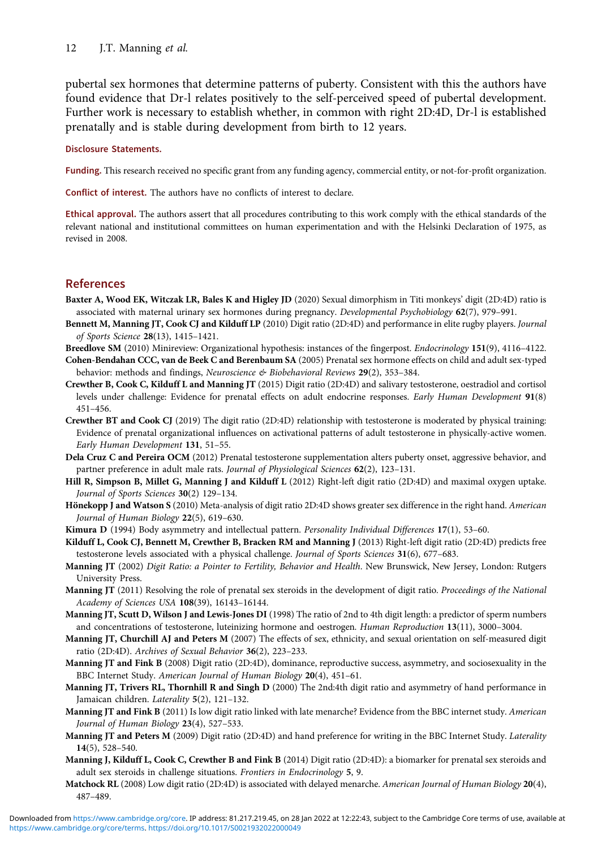<span id="page-11-0"></span>pubertal sex hormones that determine patterns of puberty. Consistent with this the authors have found evidence that Dr-l relates positively to the self-perceived speed of pubertal development. Further work is necessary to establish whether, in common with right 2D:4D, Dr-l is established prenatally and is stable during development from birth to 12 years.

## Disclosure Statements.

Funding. This research received no specific grant from any funding agency, commercial entity, or not-for-profit organization.

Conflict of interest. The authors have no conflicts of interest to declare.

Ethical approval. The authors assert that all procedures contributing to this work comply with the ethical standards of the relevant national and institutional committees on human experimentation and with the Helsinki Declaration of 1975, as revised in 2008.

# References

- Baxter A, Wood EK, Witczak LR, Bales K and Higley JD (2020) Sexual dimorphism in Titi monkeys' digit (2D:4D) ratio is associated with maternal urinary sex hormones during pregnancy. Developmental Psychobiology 62(7), 979–991.
- Bennett M, Manning JT, Cook CJ and Kilduff LP (2010) Digit ratio (2D:4D) and performance in elite rugby players. Journal of Sports Science 28(13), 1415–1421.
- Breedlove SM (2010) Minireview: Organizational hypothesis: instances of the fingerpost. Endocrinology 151(9), 4116-4122.
- Cohen-Bendahan CCC, van de Beek C and Berenbaum SA (2005) Prenatal sex hormone effects on child and adult sex-typed behavior: methods and findings, Neuroscience & Biobehavioral Reviews 29(2), 353–384.
- Crewther B, Cook C, Kilduff L and Manning JT (2015) Digit ratio (2D:4D) and salivary testosterone, oestradiol and cortisol levels under challenge: Evidence for prenatal effects on adult endocrine responses. Early Human Development 91(8) 451–456.
- Crewther BT and Cook CJ (2019) The digit ratio (2D:4D) relationship with testosterone is moderated by physical training: Evidence of prenatal organizational influences on activational patterns of adult testosterone in physically-active women. Early Human Development 131, 51–55.
- Dela Cruz C and Pereira OCM (2012) Prenatal testosterone supplementation alters puberty onset, aggressive behavior, and partner preference in adult male rats. Journal of Physiological Sciences 62(2), 123-131.
- Hill R, Simpson B, Millet G, Manning J and Kilduff L (2012) Right-left digit ratio (2D:4D) and maximal oxygen uptake. Journal of Sports Sciences 30(2) 129–134.
- Hönekopp J and Watson S (2010) Meta-analysis of digit ratio 2D:4D shows greater sex difference in the right hand. American Journal of Human Biology 22(5), 619–630.
- Kimura D (1994) Body asymmetry and intellectual pattern. Personality Individual Differences 17(1), 53-60.
- Kilduff L, Cook CJ, Bennett M, Crewther B, Bracken RM and Manning J (2013) Right-left digit ratio (2D:4D) predicts free testosterone levels associated with a physical challenge. Journal of Sports Sciences 31(6), 677–683.
- Manning JT (2002) Digit Ratio: a Pointer to Fertility, Behavior and Health. New Brunswick, New Jersey, London: Rutgers University Press.
- Manning JT (2011) Resolving the role of prenatal sex steroids in the development of digit ratio. Proceedings of the National Academy of Sciences USA 108(39), 16143–16144.
- Manning JT, Scutt D, Wilson J and Lewis-Jones DI (1998) The ratio of 2nd to 4th digit length: a predictor of sperm numbers and concentrations of testosterone, luteinizing hormone and oestrogen. Human Reproduction 13(11), 3000–3004.
- Manning JT, Churchill AJ and Peters M (2007) The effects of sex, ethnicity, and sexual orientation on self-measured digit ratio (2D:4D). Archives of Sexual Behavior 36(2), 223–233.
- Manning JT and Fink B (2008) Digit ratio (2D:4D), dominance, reproductive success, asymmetry, and sociosexuality in the BBC Internet Study. American Journal of Human Biology 20(4), 451–61.
- Manning JT, Trivers RL, Thornhill R and Singh D (2000) The 2nd:4th digit ratio and asymmetry of hand performance in Jamaican children. Laterality 5(2), 121–132.
- Manning JT and Fink B (2011) Is low digit ratio linked with late menarche? Evidence from the BBC internet study. American Journal of Human Biology 23(4), 527–533.
- Manning JT and Peters M (2009) Digit ratio (2D:4D) and hand preference for writing in the BBC Internet Study. Laterality 14(5), 528–540.
- Manning J, Kilduff L, Cook C, Crewther B and Fink B (2014) Digit ratio (2D:4D): a biomarker for prenatal sex steroids and adult sex steroids in challenge situations. Frontiers in Endocrinology 5, 9.
- Matchock RL (2008) Low digit ratio (2D:4D) is associated with delayed menarche. American Journal of Human Biology 20(4), 487–489.